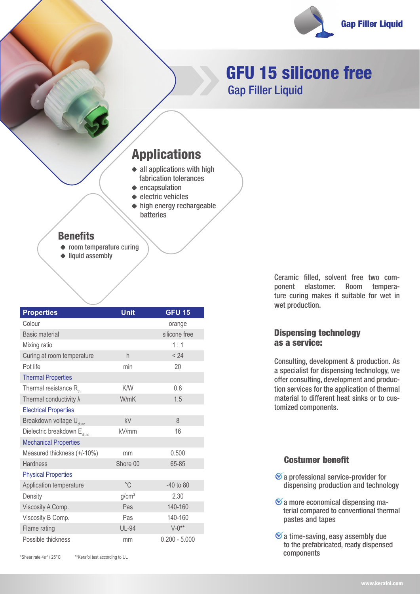

# GFU 15 silicone free Gap Filler Liquid

## Applications

- $\triangleleft$  all applications with high fabrication tolerances
- $\triangle$  encapsulation
- $\triangle$  electric vehicles  $\triangle$  high energy rechargeable batteries

### **Benefits**

- ◆ room temperature curing
- $\triangle$  liquid assembly

| <b>Properties</b>                       | Unit              | <b>GFU 15</b>   |
|-----------------------------------------|-------------------|-----------------|
| Colour                                  |                   | orange          |
| <b>Basic material</b>                   |                   | silicone free   |
| Mixing ratio                            |                   | 1:1             |
| Curing at room temperature              | h                 | < 24            |
| Pot life                                | min               | 20              |
| <b>Thermal Properties</b>               |                   |                 |
| Thermal resistance $R_{th}$             | K/W               | 0.8             |
| Thermal conductivity $\lambda$          | W/mK              | 1.5             |
| <b>Electrical Properties</b>            |                   |                 |
| Breakdown voltage U <sub>d: ac</sub>    | kV                | 8               |
| Dielectric breakdown E <sub>d; ac</sub> | kV/mm             | 16              |
| <b>Mechanical Properties</b>            |                   |                 |
| Measured thickness (+/-10%)             | mm                | 0.500           |
| <b>Hardness</b>                         | Shore 00          | 65-85           |
| <b>Physical Properties</b>              |                   |                 |
| Application temperature                 | $^{\circ}$ C      | $-40$ to $80$   |
| Density                                 | g/cm <sup>3</sup> | 2.30            |
| Viscosity A Comp.                       | Pas               | 140-160         |
| Viscosity B Comp.                       | Pas               | 140-160         |
| Flame rating                            | <b>UL-94</b>      | $V - 0**$       |
| Possible thickness                      | mm                | $0.200 - 5.000$ |

\*Shear rate 4s-1 / 25°C \*\*Kerafol test according to UL

Ceramic filled, solvent free two component elastomer. Room temperature curing makes it suitable for wet in wet production.

### Dispensing technology as a service:

Consulting, development & production. As a specialist for dispensing technology, we offer consulting, development and production services for the application of thermal material to different heat sinks or to customized components.

### **Costumer benefit**

- $\mathcal G$  a professional service-provider for dispensing production and technology
- $\mathfrak{C}$  a more economical dispensing ma terial compared to conventional thermal pastes and tapes
- $\mathcal{\mathcal{C}}$  a time-saving, easy assembly due to the prefabricated, ready dispensed components